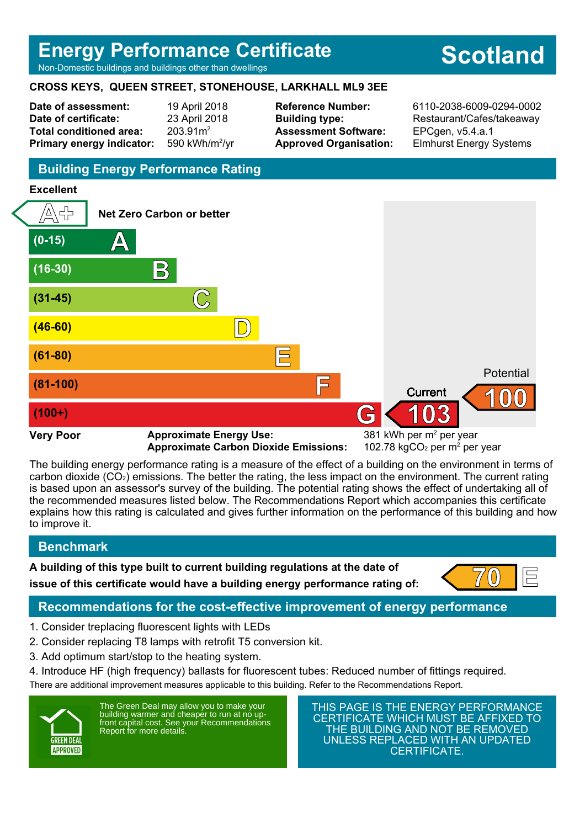# **Energy Performance Certificate**

#### Non-Domestic buildings and buildings other than dwellings

### **CROSS KEYS, QUEEN STREET, STONEHOUSE, LARKHALL ML9 3EE**

**Date of assessment:** 19 April 2018 **Date of certificate:** 23 April 2018 **Total conditioned area:** 203.91m<sup>2</sup> **Primary energy indicator:** 590 kWh/m $2/yr$ 

**Reference Number:** 6110-2038-6009-0294-0002 **Building type:** Restaurant/Cafes/takeaway **Assessment Software:** EPCgen, v5.4.a.1 **Approved Organisation:** Elmhurst Energy Systems

# **Building Energy Performance Rating**

# **Excellent**



**Approximate Carbon Dioxide Emissions:** 

102.78 kgCO<sub>2</sub> per  $m<sup>2</sup>$  per year

The building energy performance rating is a measure of the effect of a building on the environment in terms of carbon dioxide (CO2) emissions. The better the rating, the less impact on the environment. The current rating is based upon an assessor's survey of the building. The potential rating shows the effect of undertaking all of the recommended measures listed below. The Recommendations Report which accompanies this certificate explains how this rating is calculated and gives further information on the performance of this building and how to improve it.

# **Benchmark**

**A building of this type built to current building regulations at the date of issue of this certificate would have a building energy performance rating of:**  $\overline{70}$ 



# **Recommendations for the cost-effective improvement of energy performance**

- 1. Consider treplacing fluorescent lights with LEDs
- 2. Consider replacing T8 lamps with retrofit T5 conversion kit.
- 3. Add optimum start/stop to the heating system.
- 4. Introduce HF (high frequency) ballasts for fluorescent tubes: Reduced number of fittings required. There are additional improvement measures applicable to this building. Refer to the Recommendations Report.



The Green Deal may allow you to make your building warmer and cheaper to run at no upfront capital cost. See your Recommendations Report for more details.

THIS PAGE IS THE ENERGY PERFORMANCE CERTIFICATE WHICH MUST BE AFFIXED TO THE BUILDING AND NOT BE REMOVED UNLESS REPLACED WITH AN UPDATED CERTIFICATE.

# **Scotland**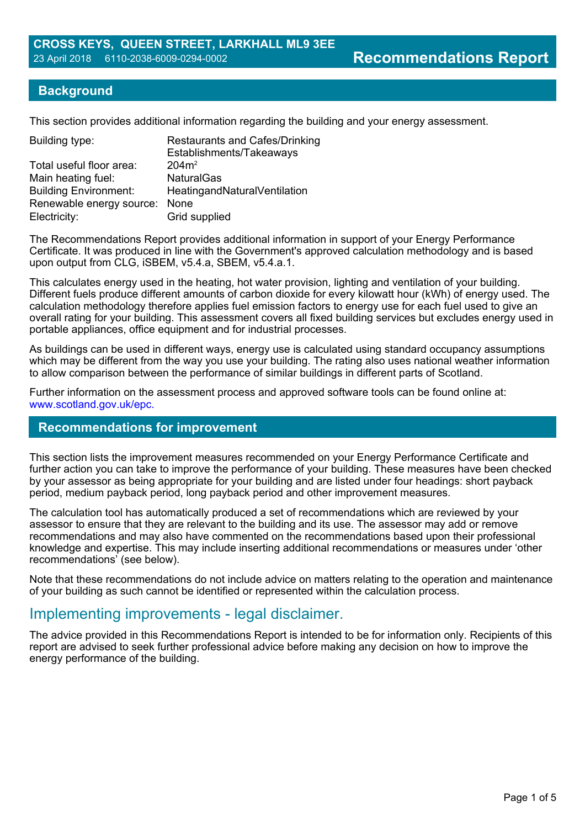# **Background**

This section provides additional information regarding the building and your energy assessment.

| <b>Restaurants and Cafes/Drinking</b><br>Establishments/Takeaways |
|-------------------------------------------------------------------|
| $204m^2$                                                          |
| <b>NaturalGas</b>                                                 |
| HeatingandNaturalVentilation                                      |
| Renewable energy source: None                                     |
| Grid supplied                                                     |
|                                                                   |

The Recommendations Report provides additional information in support of your Energy Performance Certificate. It was produced in line with the Government's approved calculation methodology and is based upon output from CLG, iSBEM, v5.4.a, SBEM, v5.4.a.1.

This calculates energy used in the heating, hot water provision, lighting and ventilation of your building. Different fuels produce different amounts of carbon dioxide for every kilowatt hour (kWh) of energy used. The calculation methodology therefore applies fuel emission factors to energy use for each fuel used to give an overall rating for your building. This assessment covers all fixed building services but excludes energy used in portable appliances, office equipment and for industrial processes.

As buildings can be used in different ways, energy use is calculated using standard occupancy assumptions which may be different from the way you use your building. The rating also uses national weather information to allow comparison between the performance of similar buildings in different parts of Scotland.

Further information on the assessment process and approved software tools can be found online at: www.scotland.gov.uk/epc.

## **Recommendations for improvement**

This section lists the improvement measures recommended on your Energy Performance Certificate and further action you can take to improve the performance of your building. These measures have been checked by your assessor as being appropriate for your building and are listed under four headings: short payback period, medium payback period, long payback period and other improvement measures.

The calculation tool has automatically produced a set of recommendations which are reviewed by your assessor to ensure that they are relevant to the building and its use. The assessor may add or remove recommendations and may also have commented on the recommendations based upon their professional knowledge and expertise. This may include inserting additional recommendations or measures under 'other recommendations' (see below).

Note that these recommendations do not include advice on matters relating to the operation and maintenance of your building as such cannot be identified or represented within the calculation process.

# Implementing improvements - legal disclaimer.

The advice provided in this Recommendations Report is intended to be for information only. Recipients of this report are advised to seek further professional advice before making any decision on how to improve the energy performance of the building.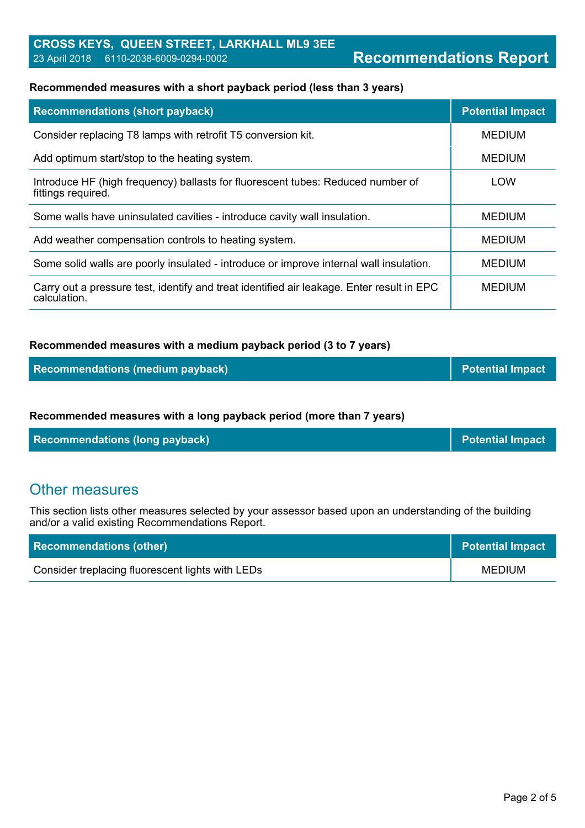### **Recommended measures with a short payback period (less than 3 years)**

| <b>Recommendations (short payback)</b>                                                                    | <b>Potential Impact</b> |
|-----------------------------------------------------------------------------------------------------------|-------------------------|
| Consider replacing T8 lamps with retrofit T5 conversion kit.                                              | <b>MEDIUM</b>           |
| Add optimum start/stop to the heating system.                                                             | <b>MEDIUM</b>           |
| Introduce HF (high frequency) ballasts for fluorescent tubes: Reduced number of<br>fittings required.     | LOW                     |
| Some walls have uninsulated cavities - introduce cavity wall insulation.                                  | <b>MEDIUM</b>           |
| Add weather compensation controls to heating system.                                                      | <b>MEDIUM</b>           |
| Some solid walls are poorly insulated - introduce or improve internal wall insulation.                    | <b>MEDIUM</b>           |
| Carry out a pressure test, identify and treat identified air leakage. Enter result in EPC<br>calculation. | <b>MEDIUM</b>           |

#### **Recommended measures with a medium payback period (3 to 7 years)**

| <b>Recommendations (medium payback)</b> | <b>Potential Impact</b> |
|-----------------------------------------|-------------------------|
|-----------------------------------------|-------------------------|

#### **Recommended measures with a long payback period (more than 7 years)**

| <b>Recommendations (long payback)</b> | <b>Potential Impact</b> |
|---------------------------------------|-------------------------|
|---------------------------------------|-------------------------|

# Other measures

This section lists other measures selected by your assessor based upon an understanding of the building and/or a valid existing Recommendations Report.

| <b>Recommendations (other)</b>                   | <b>Potential Impact</b> |
|--------------------------------------------------|-------------------------|
| Consider treplacing fluorescent lights with LEDs | <b>MEDIUM</b>           |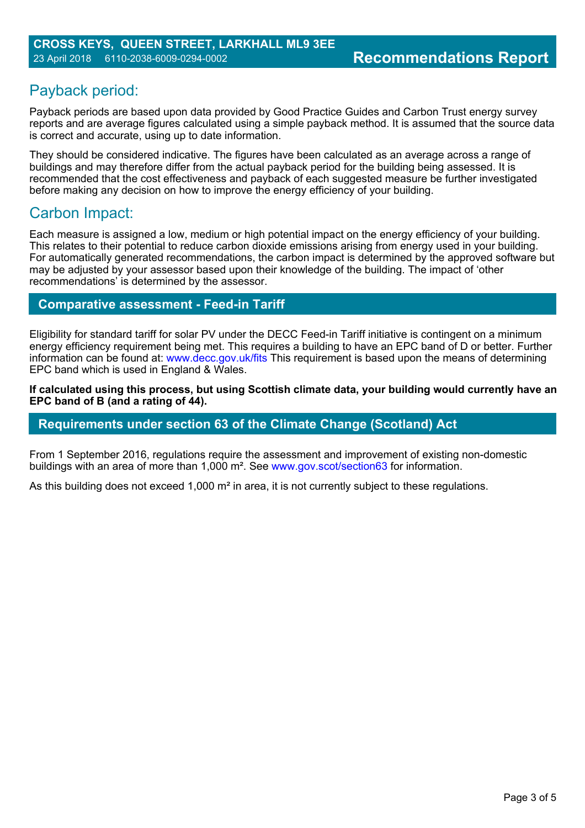# Payback period:

Payback periods are based upon data provided by Good Practice Guides and Carbon Trust energy survey reports and are average figures calculated using a simple payback method. It is assumed that the source data is correct and accurate, using up to date information.

They should be considered indicative. The figures have been calculated as an average across a range of buildings and may therefore differ from the actual payback period for the building being assessed. It is recommended that the cost effectiveness and payback of each suggested measure be further investigated before making any decision on how to improve the energy efficiency of your building.

# Carbon Impact:

Each measure is assigned a low, medium or high potential impact on the energy efficiency of your building. This relates to their potential to reduce carbon dioxide emissions arising from energy used in your building. For automatically generated recommendations, the carbon impact is determined by the approved software but may be adjusted by your assessor based upon their knowledge of the building. The impact of 'other recommendations' is determined by the assessor.

# **Comparative assessment - Feed-in Tariff**

Eligibility for standard tariff for solar PV under the DECC Feed-in Tariff initiative is contingent on a minimum energy efficiency requirement being met. This requires a building to have an EPC band of D or better. Further information can be found at: www.decc.gov.uk/fits This requirement is based upon the means of determining EPC band which is used in England & Wales.

**If calculated using this process, but using Scottish climate data, your building would currently have an EPC band of B (and a rating of 44).**

# **Requirements under section 63 of the Climate Change (Scotland) Act**

From 1 September 2016, regulations require the assessment and improvement of existing non-domestic buildings with an area of more than 1,000 m². See www.gov.scot/section63 for information.

As this building does not exceed 1,000 m<sup>2</sup> in area, it is not currently subject to these regulations.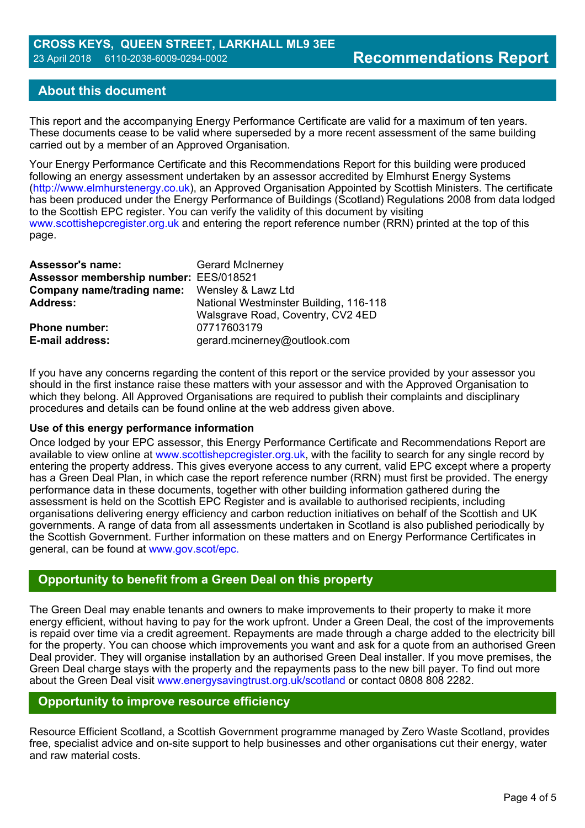# **About this document**

This report and the accompanying Energy Performance Certificate are valid for a maximum of ten years. These documents cease to be valid where superseded by a more recent assessment of the same building carried out by a member of an Approved Organisation.

Your Energy Performance Certificate and this Recommendations Report for this building were produced following an energy assessment undertaken by an assessor accredited by Elmhurst Energy Systems (http://www.elmhurstenergy.co.uk), an Approved Organisation Appointed by Scottish Ministers. The certificate has been produced under the Energy Performance of Buildings (Scotland) Regulations 2008 from data lodged to the Scottish EPC register. You can verify the validity of this document by visiting www.scottishepcregister.org.uk and entering the report reference number (RRN) printed at the top of this page.

| <b>Assessor's name:</b>                              | <b>Gerard McInerney</b>                                                     |
|------------------------------------------------------|-----------------------------------------------------------------------------|
| Assessor membership number: EES/018521               |                                                                             |
| <b>Company name/trading name:</b> Wensley & Lawz Ltd |                                                                             |
| <b>Address:</b>                                      | National Westminster Building, 116-118<br>Walsgrave Road, Coventry, CV2 4ED |
| <b>Phone number:</b>                                 | 07717603179                                                                 |
| <b>E-mail address:</b>                               | gerard.mcinerney@outlook.com                                                |

If you have any concerns regarding the content of this report or the service provided by your assessor you should in the first instance raise these matters with your assessor and with the Approved Organisation to which they belong. All Approved Organisations are required to publish their complaints and disciplinary procedures and details can be found online at the web address given above.

#### **Use of this energy performance information**

Once lodged by your EPC assessor, this Energy Performance Certificate and Recommendations Report are available to view online at www.scottishepcregister.org.uk, with the facility to search for any single record by entering the property address. This gives everyone access to any current, valid EPC except where a property has a Green Deal Plan, in which case the report reference number (RRN) must first be provided. The energy performance data in these documents, together with other building information gathered during the assessment is held on the Scottish EPC Register and is available to authorised recipients, including organisations delivering energy efficiency and carbon reduction initiatives on behalf of the Scottish and UK governments. A range of data from all assessments undertaken in Scotland is also published periodically by the Scottish Government. Further information on these matters and on Energy Performance Certificates in general, can be found at www.gov.scot/epc.

## **Opportunity to benefit from a Green Deal on this property**

The Green Deal may enable tenants and owners to make improvements to their property to make it more energy efficient, without having to pay for the work upfront. Under a Green Deal, the cost of the improvements is repaid over time via a credit agreement. Repayments are made through a charge added to the electricity bill for the property. You can choose which improvements you want and ask for a quote from an authorised Green Deal provider. They will organise installation by an authorised Green Deal installer. If you move premises, the Green Deal charge stays with the property and the repayments pass to the new bill payer. To find out more about the Green Deal visit www.energysavingtrust.org.uk/scotland or contact 0808 808 2282.

# **Opportunity to improve resource efficiency**

Resource Efficient Scotland, a Scottish Government programme managed by Zero Waste Scotland, provides free, specialist advice and on-site support to help businesses and other organisations cut their energy, water and raw material costs.